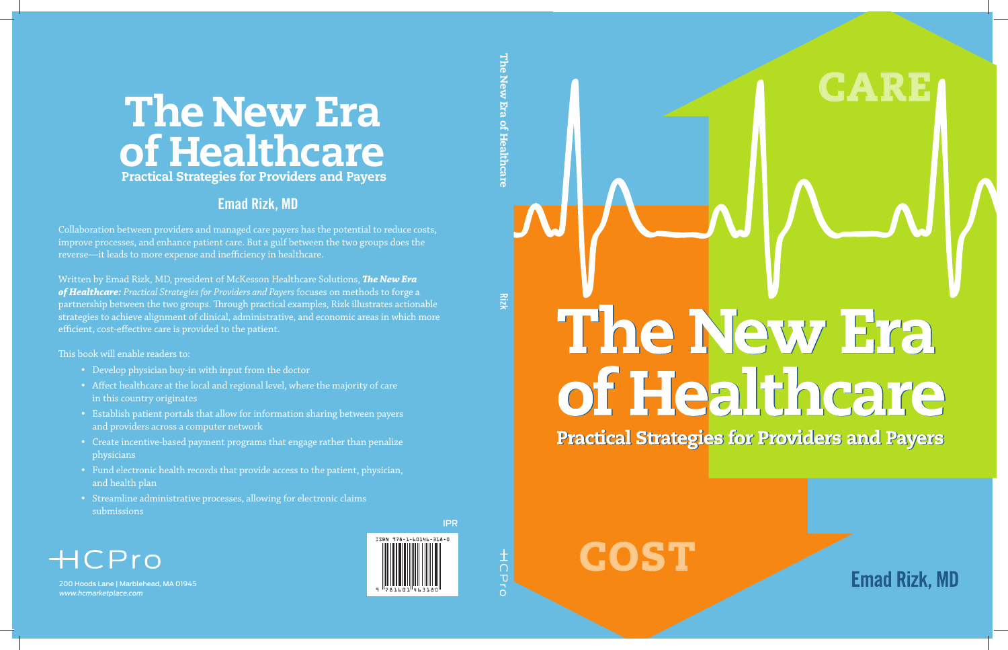# The New Era of Healthcare

**Practical Strategies for Providers and Payers** 



**Emad Rizk, MD** 

**CARE**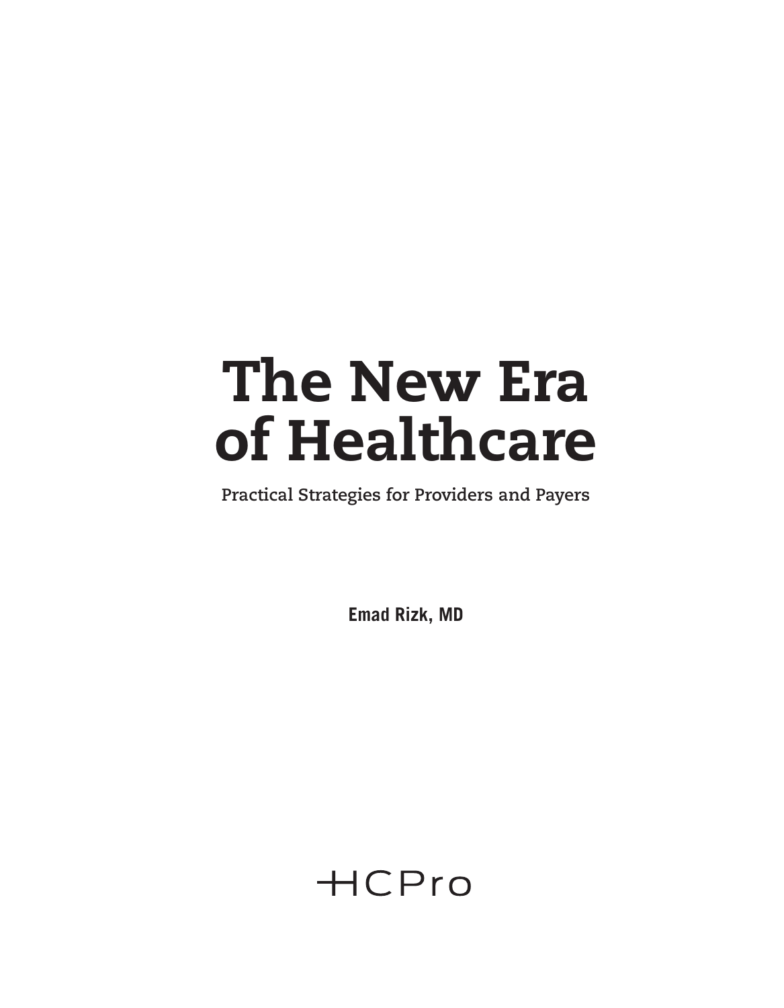# The New Era of Healthcare

**Practical Strategies for Providers and Payers**

**Emad Rizk, MD**

**HCPro**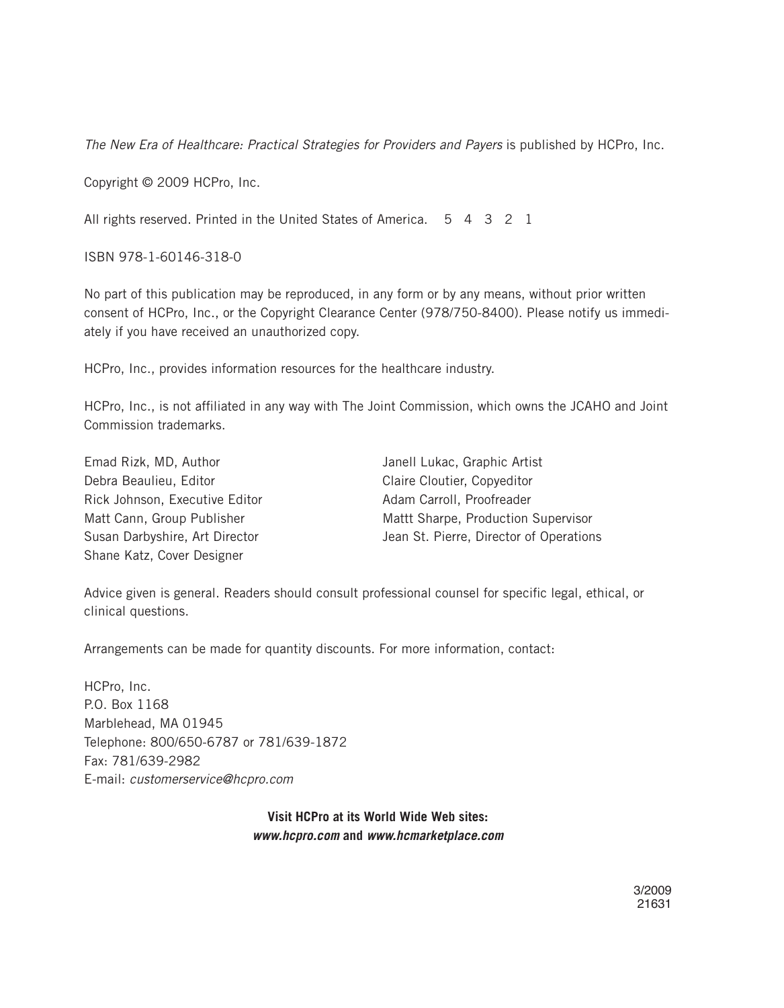*The New Era of Healthcare: Practical Strategies for Providers and Payers* is published by HCPro, Inc.

Copyright © 2009 HCPro, Inc.

All rights reserved. Printed in the United States of America. 5 4 3 2 1

ISBN 978-1-60146-318-0

No part of this publication may be reproduced, in any form or by any means, without prior written consent of HCPro, Inc., or the Copyright Clearance Center (978/750-8400). Please notify us immediately if you have received an unauthorized copy.

HCPro, Inc., provides information resources for the healthcare industry.

HCPro, Inc., is not affiliated in any way with The Joint Commission, which owns the JCAHO and Joint Commission trademarks.

| Emad Rizk, MD, Author          | Janell Lukac, Graphic Artist            |
|--------------------------------|-----------------------------------------|
| Debra Beaulieu, Editor         | Claire Cloutier, Copyeditor             |
| Rick Johnson, Executive Editor | Adam Carroll, Proofreader               |
| Matt Cann, Group Publisher     | Mattt Sharpe, Production Supervisor     |
| Susan Darbyshire, Art Director | Jean St. Pierre, Director of Operations |
| Shane Katz, Cover Designer     |                                         |

Advice given is general. Readers should consult professional counsel for specific legal, ethical, or clinical questions.

Arrangements can be made for quantity discounts. For more information, contact:

HCPro, Inc. P.O. Box 1168 Marblehead, MA 01945 Telephone: 800/650-6787 or 781/639-1872 Fax: 781/639-2982 E-mail: *customerservice@hcpro.com*

> **Visit HCPro at its World Wide Web sites:** *www.hcpro.com* **and** *www.hcmarketplace.com*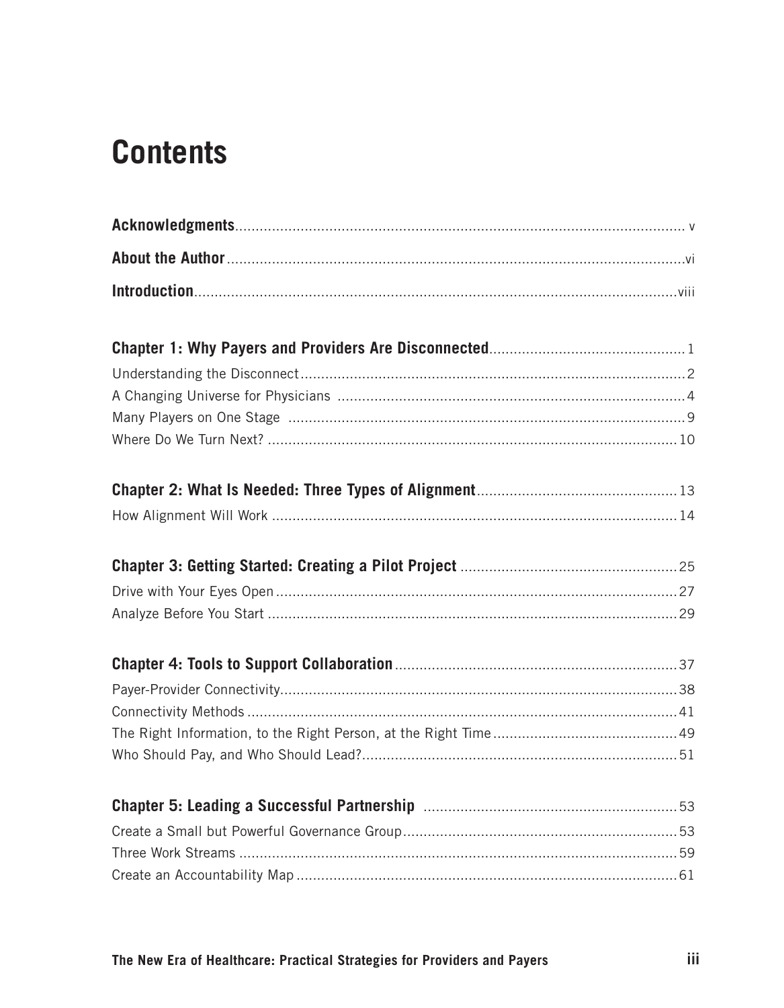# **Contents**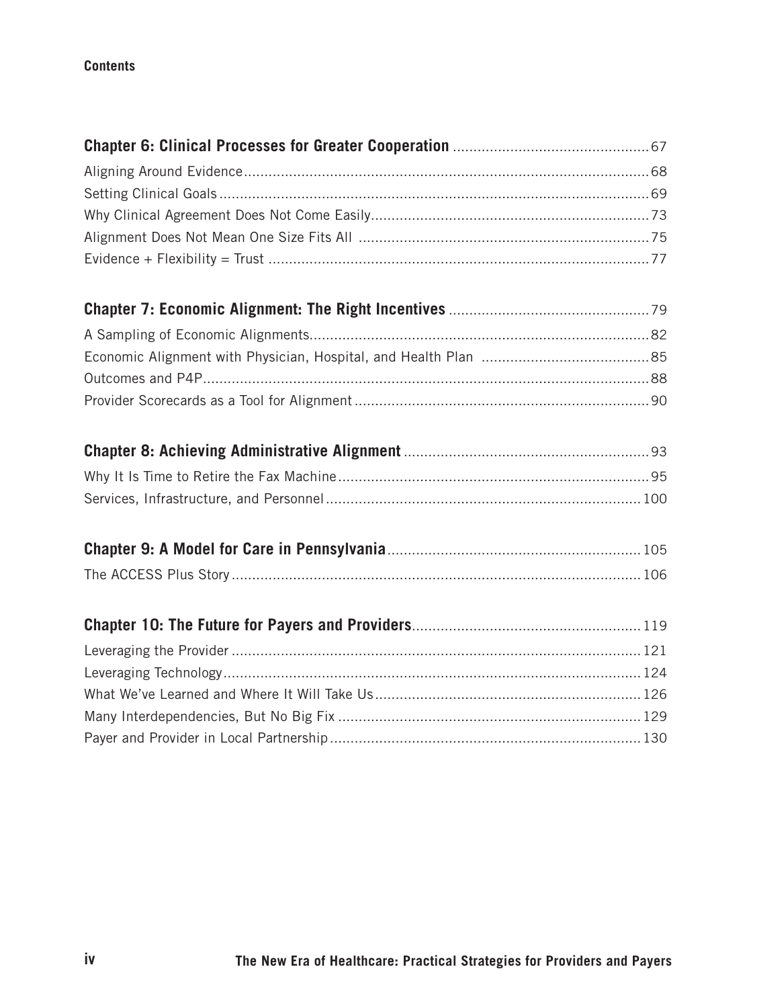#### **Contents**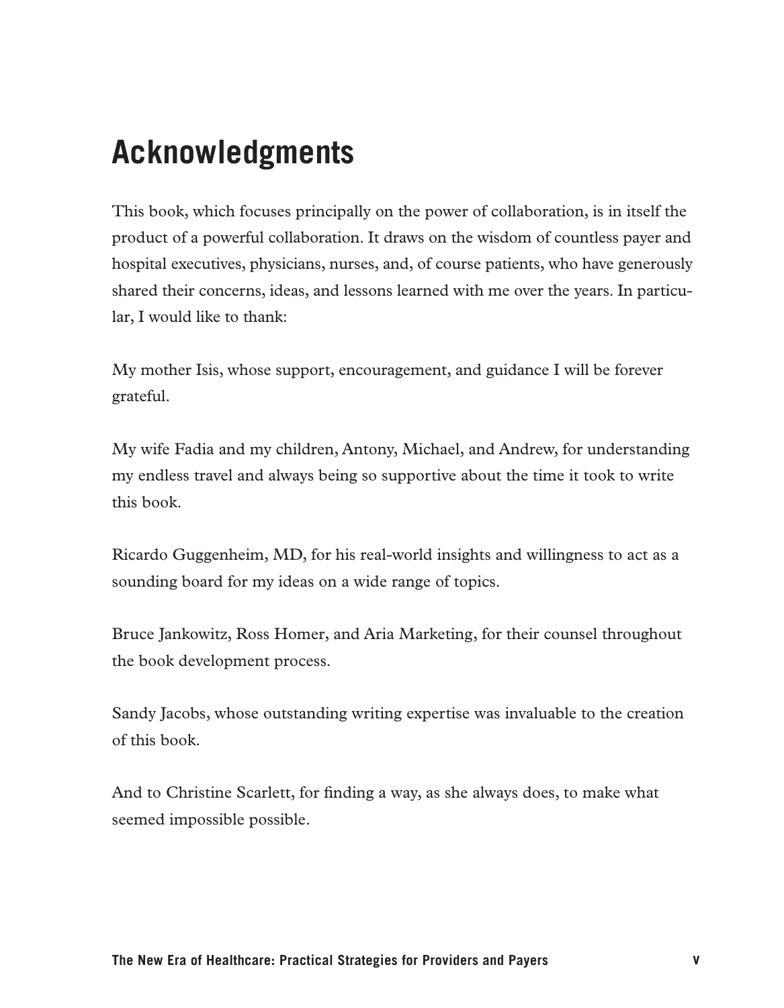# **Acknowledgments**

This book, which focuses principally on the power of collaboration, is in itself the product of a powerful collaboration. It draws on the wisdom of countless payer and hospital executives, physicians, nurses, and, of course patients, who have generously shared their concerns, ideas, and lessons learned with me over the years. In particular, I would like to thank:

My mother Isis, whose support, encouragement, and guidance I will be forever grateful.

My wife Fadia and my children, Antony, Michael, and Andrew, for understanding my endless travel and always being so supportive about the time it took to write this book.

Ricardo Guggenheim, MD, for his real-world insights and willingness to act as a sounding board for my ideas on a wide range of topics.

Bruce Jankowitz, Ross Homer, and Aria Marketing, for their counsel throughout the book development process.

Sandy Jacobs, whose outstanding writing expertise was invaluable to the creation of this book.

And to Christine Scarlett, for finding a way, as she always does, to make what seemed impossible possible.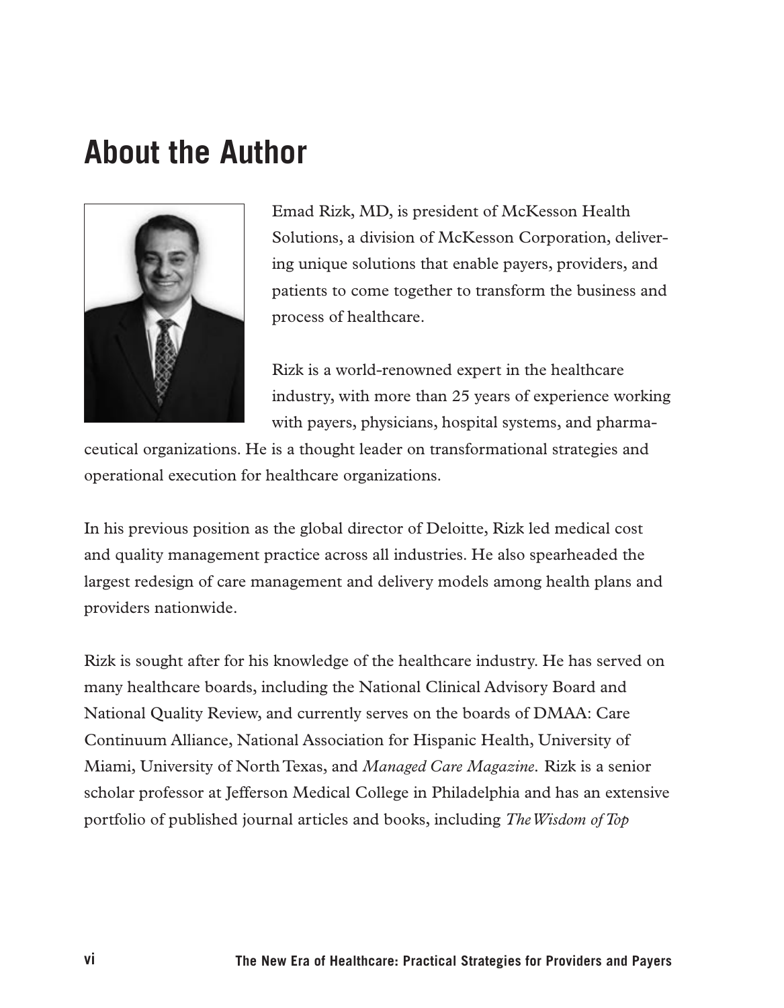### **About the Author**



Emad Rizk, MD, is president of McKesson Health Solutions, a division of McKesson Corporation, delivering unique solutions that enable payers, providers, and patients to come together to transform the business and process of healthcare.

Rizk is a world-renowned expert in the healthcare industry, with more than 25 years of experience working with payers, physicians, hospital systems, and pharma-

ceutical organizations. He is a thought leader on transformational strategies and operational execution for healthcare organizations.

In his previous position as the global director of Deloitte, Rizk led medical cost and quality management practice across all industries. He also spearheaded the largest redesign of care management and delivery models among health plans and providers nationwide.

Rizk is sought after for his knowledge of the healthcare industry. He has served on many healthcare boards, including the National Clinical Advisory Board and National Quality Review, and currently serves on the boards of DMAA: Care Continuum Alliance, National Association for Hispanic Health, University of Miami, University of North Texas, and *Managed Care Magazine.* Rizk is a senior scholar professor at Jefferson Medical College in Philadelphia and has an extensive portfolio of published journal articles and books, including *The Wisdom of Top*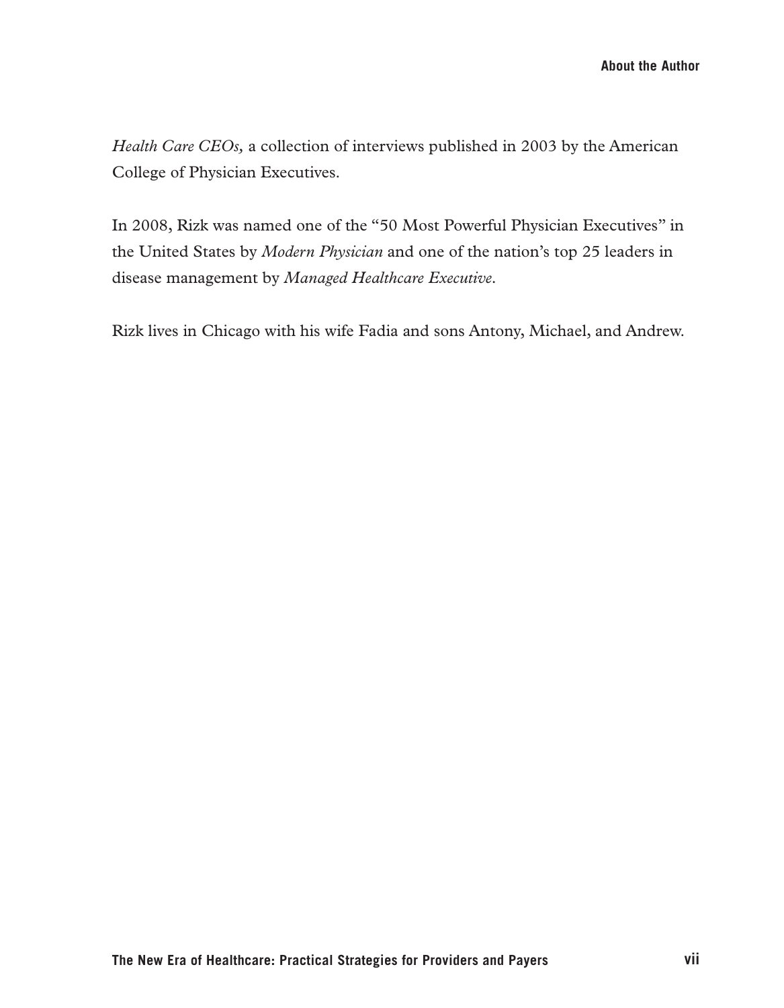*Health Care CEOs,* a collection of interviews published in 2003 by the American College of Physician Executives.

In 2008, Rizk was named one of the "50 Most Powerful Physician Executives" in the United States by *Modern Physician* and one of the nation's top 25 leaders in disease management by *Managed Healthcare Executive.* 

Rizk lives in Chicago with his wife Fadia and sons Antony, Michael, and Andrew.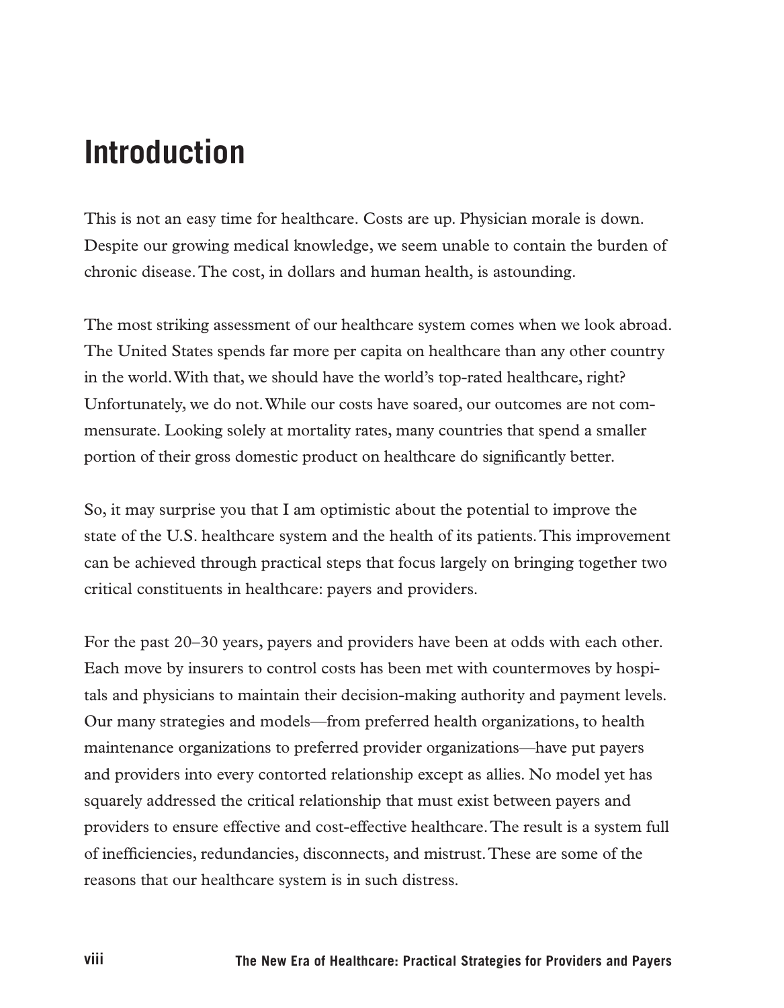## **Introduction**

This is not an easy time for healthcare. Costs are up. Physician morale is down. Despite our growing medical knowledge, we seem unable to contain the burden of chronic disease. The cost, in dollars and human health, is astounding.

The most striking assessment of our healthcare system comes when we look abroad. The United States spends far more per capita on healthcare than any other country in the world. With that, we should have the world's top-rated healthcare, right? Unfortunately, we do not. While our costs have soared, our outcomes are not commensurate. Looking solely at mortality rates, many countries that spend a smaller portion of their gross domestic product on healthcare do significantly better.

So, it may surprise you that I am optimistic about the potential to improve the state of the U.S. healthcare system and the health of its patients. This improvement can be achieved through practical steps that focus largely on bringing together two critical constituents in healthcare: payers and providers.

For the past 20–30 years, payers and providers have been at odds with each other. Each move by insurers to control costs has been met with countermoves by hospitals and physicians to maintain their decision-making authority and payment levels. Our many strategies and models—from preferred health organizations, to health maintenance organizations to preferred provider organizations—have put payers and providers into every contorted relationship except as allies. No model yet has squarely addressed the critical relationship that must exist between payers and providers to ensure effective and cost-effective healthcare. The result is a system full of inefficiencies, redundancies, disconnects, and mistrust. These are some of the reasons that our healthcare system is in such distress.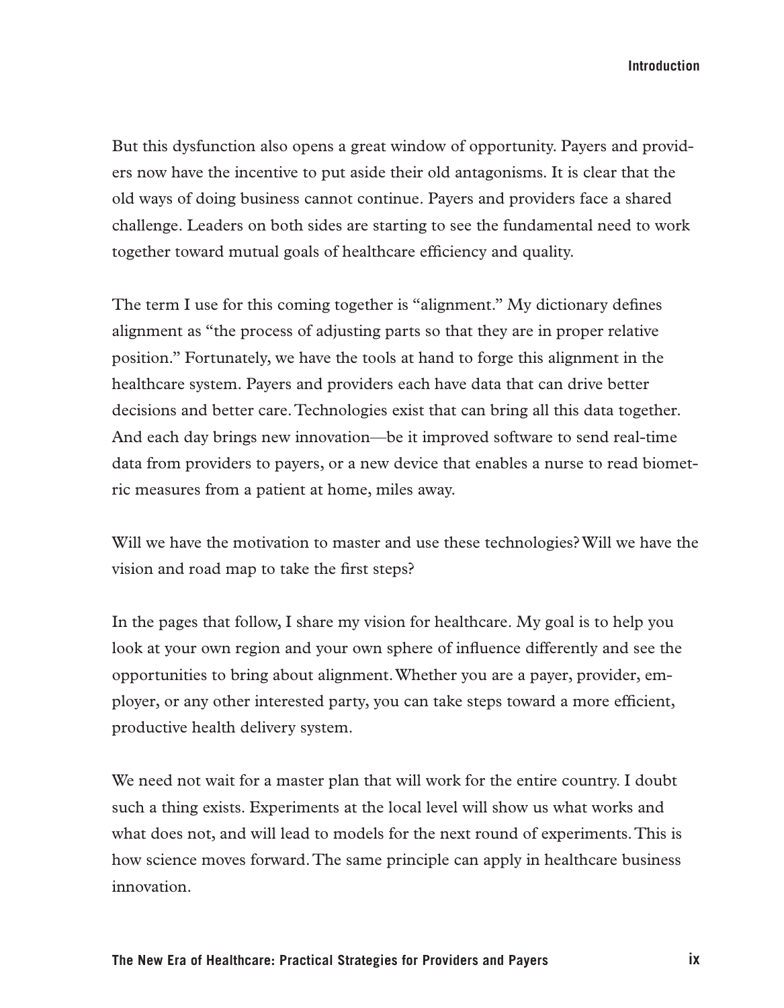**Introduction**

But this dysfunction also opens a great window of opportunity. Payers and providers now have the incentive to put aside their old antagonisms. It is clear that the old ways of doing business cannot continue. Payers and providers face a shared challenge. Leaders on both sides are starting to see the fundamental need to work together toward mutual goals of healthcare efficiency and quality.

The term I use for this coming together is "alignment." My dictionary defines alignment as "the process of adjusting parts so that they are in proper relative position." Fortunately, we have the tools at hand to forge this alignment in the healthcare system. Payers and providers each have data that can drive better decisions and better care. Technologies exist that can bring all this data together. And each day brings new innovation—be it improved software to send real-time data from providers to payers, or a new device that enables a nurse to read biometric measures from a patient at home, miles away.

Will we have the motivation to master and use these technologies? Will we have the vision and road map to take the first steps?

In the pages that follow, I share my vision for healthcare. My goal is to help you look at your own region and your own sphere of influence differently and see the opportunities to bring about alignment. Whether you are a payer, provider, employer, or any other interested party, you can take steps toward a more efficient, productive health delivery system.

We need not wait for a master plan that will work for the entire country. I doubt such a thing exists. Experiments at the local level will show us what works and what does not, and will lead to models for the next round of experiments. This is how science moves forward. The same principle can apply in healthcare business innovation.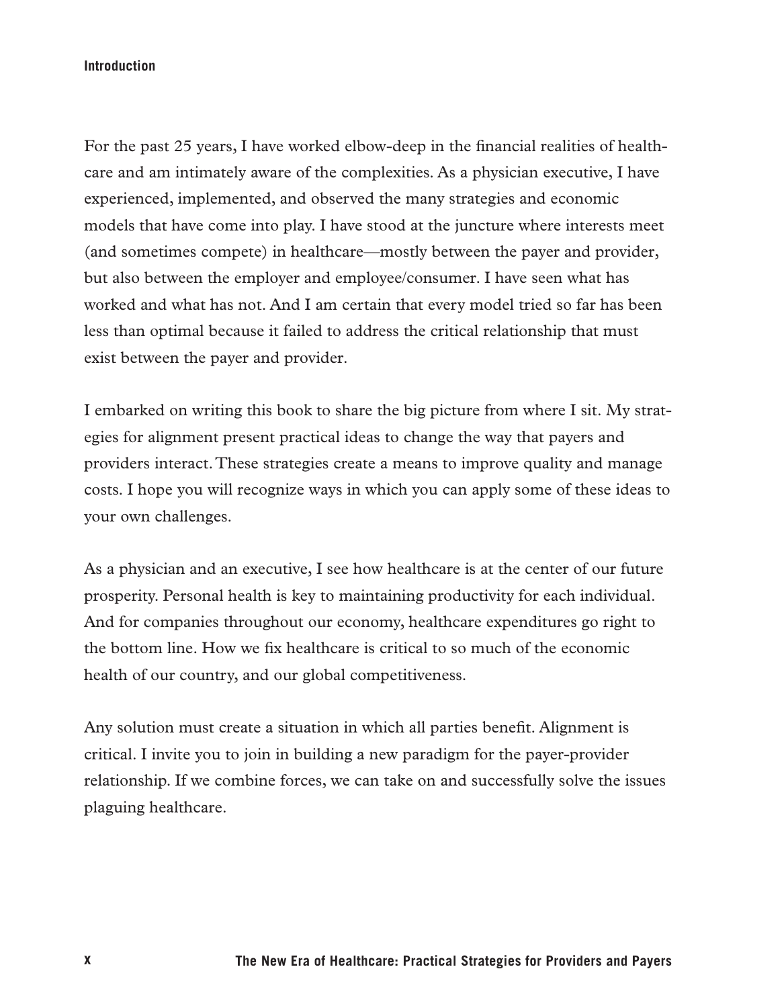#### **Introduction**

For the past 25 years, I have worked elbow-deep in the financial realities of healthcare and am intimately aware of the complexities. As a physician executive, I have experienced, implemented, and observed the many strategies and economic models that have come into play. I have stood at the juncture where interests meet (and sometimes compete) in healthcare—mostly between the payer and provider, but also between the employer and employee/consumer. I have seen what has worked and what has not. And I am certain that every model tried so far has been less than optimal because it failed to address the critical relationship that must exist between the payer and provider.

I embarked on writing this book to share the big picture from where I sit. My strategies for alignment present practical ideas to change the way that payers and providers interact. These strategies create a means to improve quality and manage costs. I hope you will recognize ways in which you can apply some of these ideas to your own challenges.

As a physician and an executive, I see how healthcare is at the center of our future prosperity. Personal health is key to maintaining productivity for each individual. And for companies throughout our economy, healthcare expenditures go right to the bottom line. How we fix healthcare is critical to so much of the economic health of our country, and our global competitiveness.

Any solution must create a situation in which all parties benefit. Alignment is critical. I invite you to join in building a new paradigm for the payer-provider relationship. If we combine forces, we can take on and successfully solve the issues plaguing healthcare.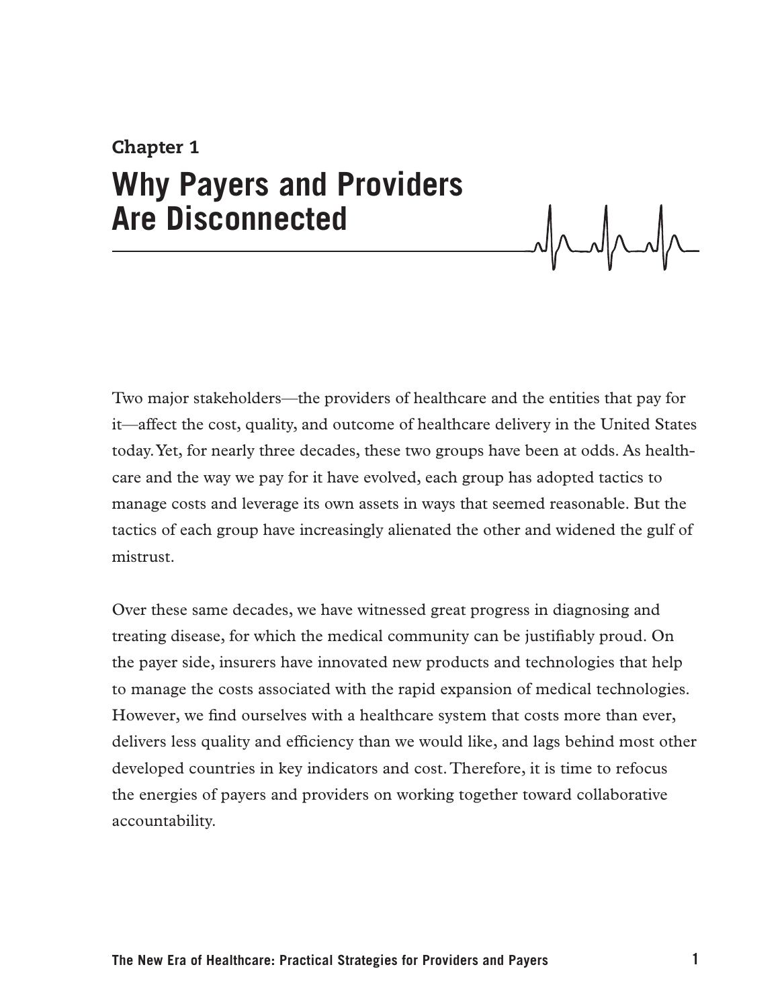# Chapter 1 **Why Payers and Providers Are Disconnected**

Two major stakeholders—the providers of healthcare and the entities that pay for it—affect the cost, quality, and outcome of healthcare delivery in the United States today. Yet, for nearly three decades, these two groups have been at odds. As healthcare and the way we pay for it have evolved, each group has adopted tactics to manage costs and leverage its own assets in ways that seemed reasonable. But the tactics of each group have increasingly alienated the other and widened the gulf of mistrust.

Over these same decades, we have witnessed great progress in diagnosing and treating disease, for which the medical community can be justifiably proud. On the payer side, insurers have innovated new products and technologies that help to manage the costs associated with the rapid expansion of medical technologies. However, we find ourselves with a healthcare system that costs more than ever, delivers less quality and efficiency than we would like, and lags behind most other developed countries in key indicators and cost. Therefore, it is time to refocus the energies of payers and providers on working together toward collaborative accountability.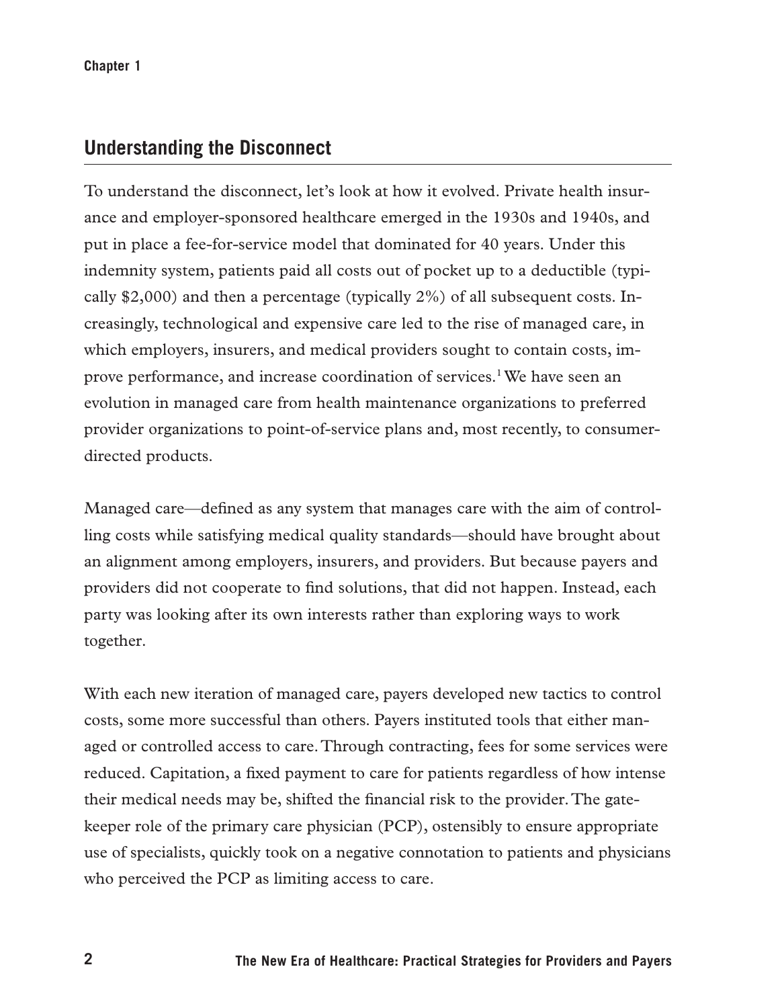#### **Understanding the Disconnect**

To understand the disconnect, let's look at how it evolved. Private health insurance and employer-sponsored healthcare emerged in the 1930s and 1940s, and put in place a fee-for-service model that dominated for 40 years. Under this indemnity system, patients paid all costs out of pocket up to a deductible (typically \$2,000) and then a percentage (typically 2%) of all subsequent costs. Increasingly, technological and expensive care led to the rise of managed care, in which employers, insurers, and medical providers sought to contain costs, improve performance, and increase coordination of services.<sup>1</sup> We have seen an evolution in managed care from health maintenance organizations to preferred provider organizations to point-of-service plans and, most recently, to consumerdirected products.

Managed care—defined as any system that manages care with the aim of controlling costs while satisfying medical quality standards—should have brought about an alignment among employers, insurers, and providers. But because payers and providers did not cooperate to find solutions, that did not happen. Instead, each party was looking after its own interests rather than exploring ways to work together.

With each new iteration of managed care, payers developed new tactics to control costs, some more successful than others. Payers instituted tools that either managed or controlled access to care. Through contracting, fees for some services were reduced. Capitation, a fixed payment to care for patients regardless of how intense their medical needs may be, shifted the financial risk to the provider. The gatekeeper role of the primary care physician (PCP), ostensibly to ensure appropriate use of specialists, quickly took on a negative connotation to patients and physicians who perceived the PCP as limiting access to care.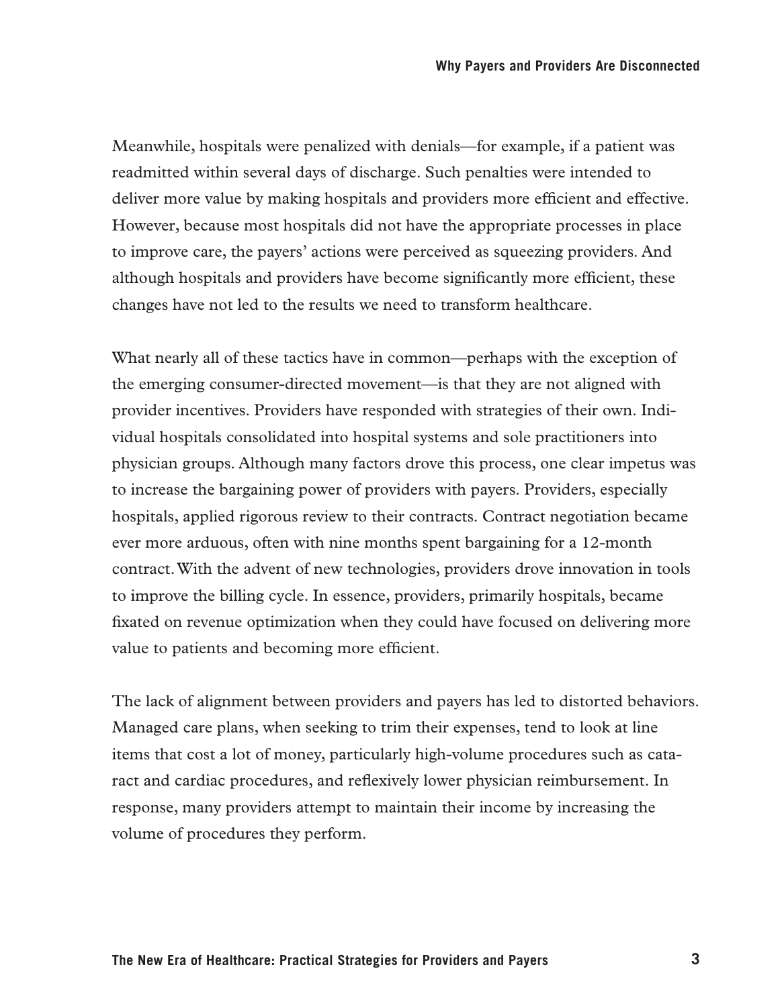Meanwhile, hospitals were penalized with denials—for example, if a patient was readmitted within several days of discharge. Such penalties were intended to deliver more value by making hospitals and providers more efficient and effective. However, because most hospitals did not have the appropriate processes in place to improve care, the payers' actions were perceived as squeezing providers. And although hospitals and providers have become significantly more efficient, these changes have not led to the results we need to transform healthcare.

What nearly all of these tactics have in common—perhaps with the exception of the emerging consumer-directed movement—is that they are not aligned with provider incentives. Providers have responded with strategies of their own. Individual hospitals consolidated into hospital systems and sole practitioners into physician groups. Although many factors drove this process, one clear impetus was to increase the bargaining power of providers with payers. Providers, especially hospitals, applied rigorous review to their contracts. Contract negotiation became ever more arduous, often with nine months spent bargaining for a 12-month contract. With the advent of new technologies, providers drove innovation in tools to improve the billing cycle. In essence, providers, primarily hospitals, became fixated on revenue optimization when they could have focused on delivering more value to patients and becoming more efficient.

The lack of alignment between providers and payers has led to distorted behaviors. Managed care plans, when seeking to trim their expenses, tend to look at line items that cost a lot of money, particularly high-volume procedures such as cataract and cardiac procedures, and reflexively lower physician reimbursement. In response, many providers attempt to maintain their income by increasing the volume of procedures they perform.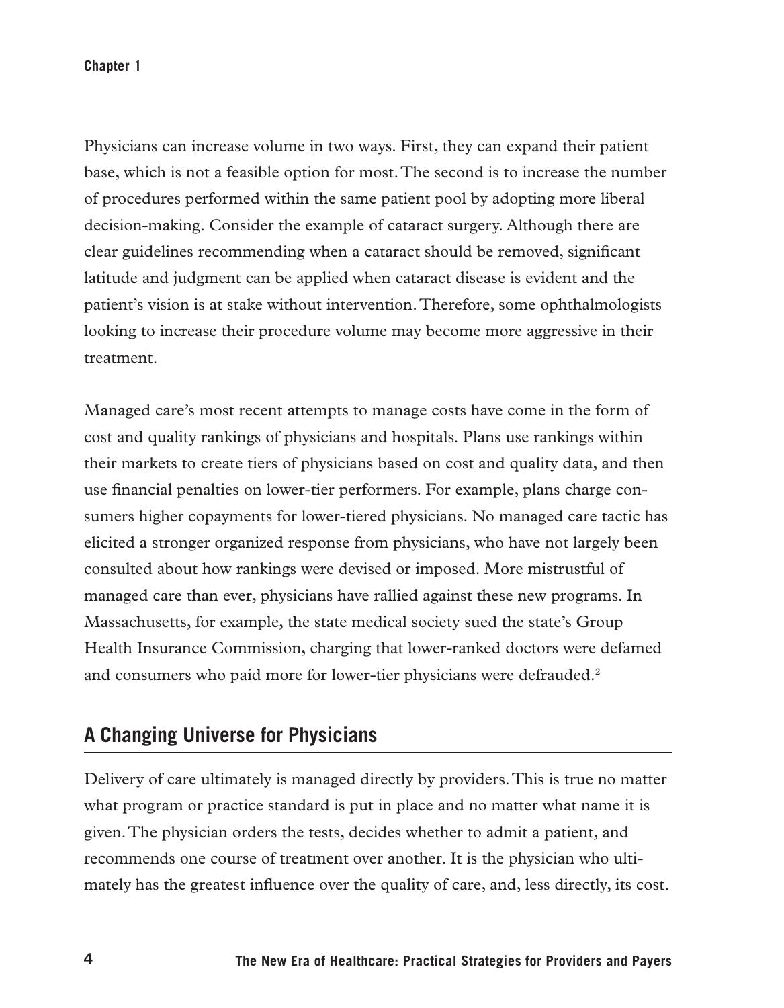**Chapter 1**

Physicians can increase volume in two ways. First, they can expand their patient base, which is not a feasible option for most. The second is to increase the number of procedures performed within the same patient pool by adopting more liberal decision-making. Consider the example of cataract surgery. Although there are clear guidelines recommending when a cataract should be removed, significant latitude and judgment can be applied when cataract disease is evident and the patient's vision is at stake without intervention. Therefore, some ophthalmologists looking to increase their procedure volume may become more aggressive in their treatment.

Managed care's most recent attempts to manage costs have come in the form of cost and quality rankings of physicians and hospitals. Plans use rankings within their markets to create tiers of physicians based on cost and quality data, and then use financial penalties on lower-tier performers. For example, plans charge consumers higher copayments for lower-tiered physicians. No managed care tactic has elicited a stronger organized response from physicians, who have not largely been consulted about how rankings were devised or imposed. More mistrustful of managed care than ever, physicians have rallied against these new programs. In Massachusetts, for example, the state medical society sued the state's Group Health Insurance Commission, charging that lower-ranked doctors were defamed and consumers who paid more for lower-tier physicians were defrauded.<sup>2</sup>

#### **A Changing Universe for Physicians**

Delivery of care ultimately is managed directly by providers. This is true no matter what program or practice standard is put in place and no matter what name it is given. The physician orders the tests, decides whether to admit a patient, and recommends one course of treatment over another. It is the physician who ultimately has the greatest influence over the quality of care, and, less directly, its cost.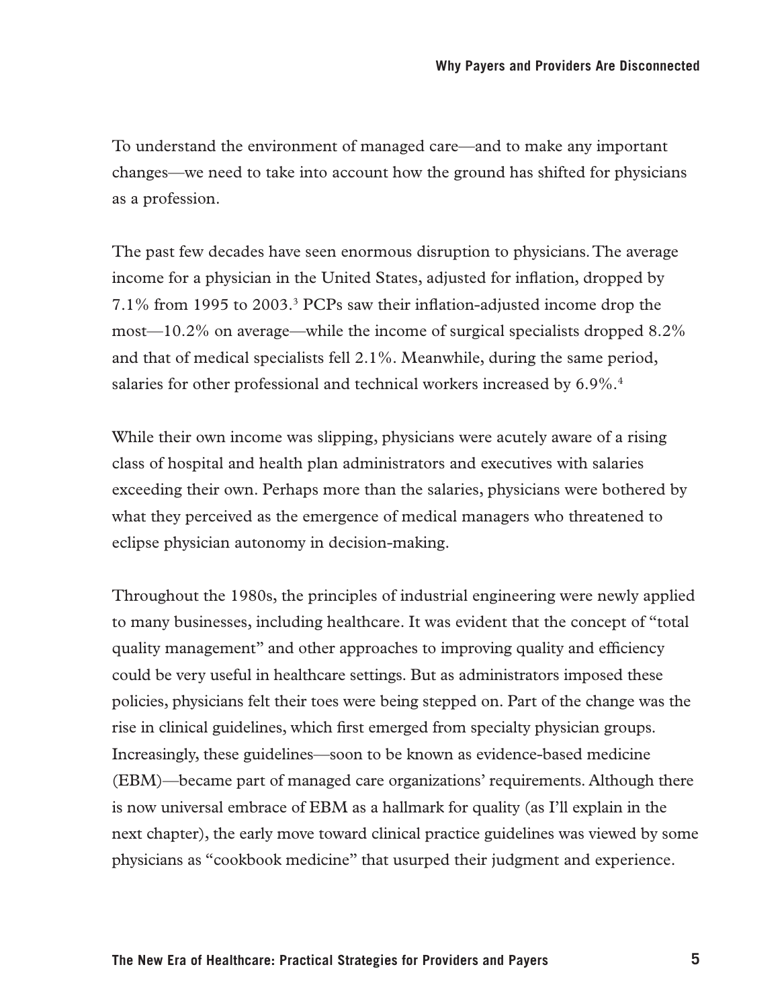To understand the environment of managed care—and to make any important changes—we need to take into account how the ground has shifted for physicians as a profession.

The past few decades have seen enormous disruption to physicians. The average income for a physician in the United States, adjusted for inflation, dropped by 7.1% from 1995 to 2003.3 PCPs saw their inflation-adjusted income drop the most—10.2% on average—while the income of surgical specialists dropped 8.2% and that of medical specialists fell 2.1%. Meanwhile, during the same period, salaries for other professional and technical workers increased by 6.9%.<sup>4</sup>

While their own income was slipping, physicians were acutely aware of a rising class of hospital and health plan administrators and executives with salaries exceeding their own. Perhaps more than the salaries, physicians were bothered by what they perceived as the emergence of medical managers who threatened to eclipse physician autonomy in decision-making.

Throughout the 1980s, the principles of industrial engineering were newly applied to many businesses, including healthcare. It was evident that the concept of "total quality management" and other approaches to improving quality and efficiency could be very useful in healthcare settings. But as administrators imposed these policies, physicians felt their toes were being stepped on. Part of the change was the rise in clinical guidelines, which first emerged from specialty physician groups. Increasingly, these guidelines—soon to be known as evidence-based medicine (EBM)—became part of managed care organizations' requirements. Although there is now universal embrace of EBM as a hallmark for quality (as I'll explain in the next chapter), the early move toward clinical practice guidelines was viewed by some physicians as "cookbook medicine" that usurped their judgment and experience.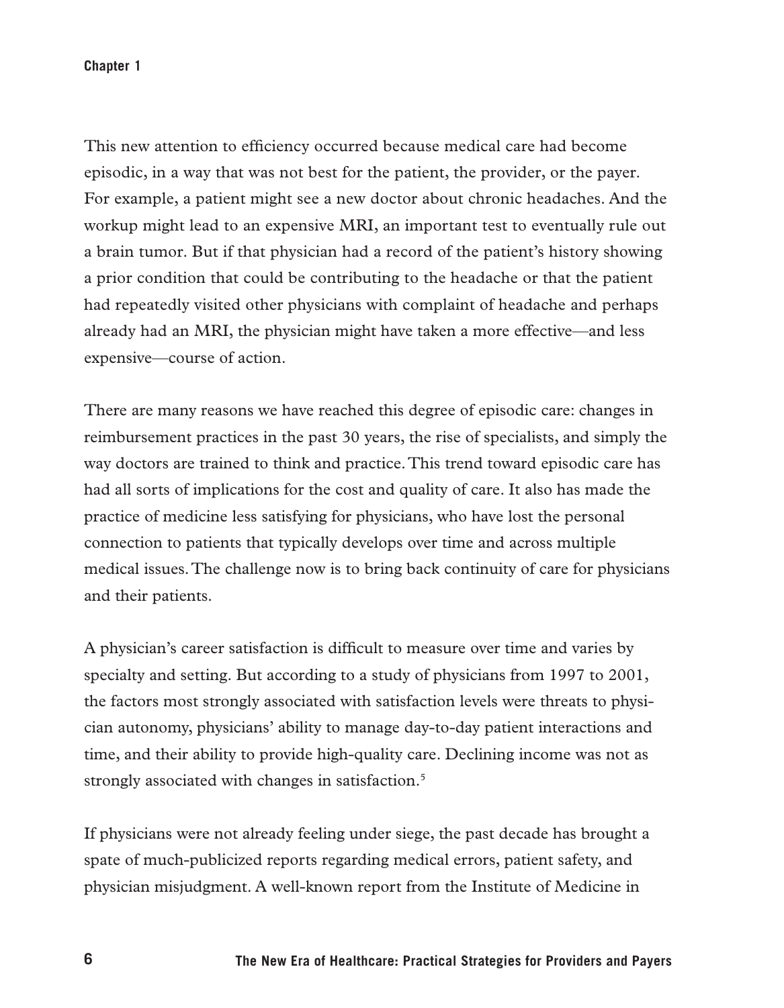#### **Chapter 1**

This new attention to efficiency occurred because medical care had become episodic, in a way that was not best for the patient, the provider, or the payer. For example, a patient might see a new doctor about chronic headaches. And the workup might lead to an expensive MRI, an important test to eventually rule out a brain tumor. But if that physician had a record of the patient's history showing a prior condition that could be contributing to the headache or that the patient had repeatedly visited other physicians with complaint of headache and perhaps already had an MRI, the physician might have taken a more effective—and less expensive—course of action.

There are many reasons we have reached this degree of episodic care: changes in reimbursement practices in the past 30 years, the rise of specialists, and simply the way doctors are trained to think and practice. This trend toward episodic care has had all sorts of implications for the cost and quality of care. It also has made the practice of medicine less satisfying for physicians, who have lost the personal connection to patients that typically develops over time and across multiple medical issues. The challenge now is to bring back continuity of care for physicians and their patients.

A physician's career satisfaction is difficult to measure over time and varies by specialty and setting. But according to a study of physicians from 1997 to 2001, the factors most strongly associated with satisfaction levels were threats to physician autonomy, physicians' ability to manage day-to-day patient interactions and time, and their ability to provide high-quality care. Declining income was not as strongly associated with changes in satisfaction.<sup>5</sup>

If physicians were not already feeling under siege, the past decade has brought a spate of much-publicized reports regarding medical errors, patient safety, and physician misjudgment. A well-known report from the Institute of Medicine in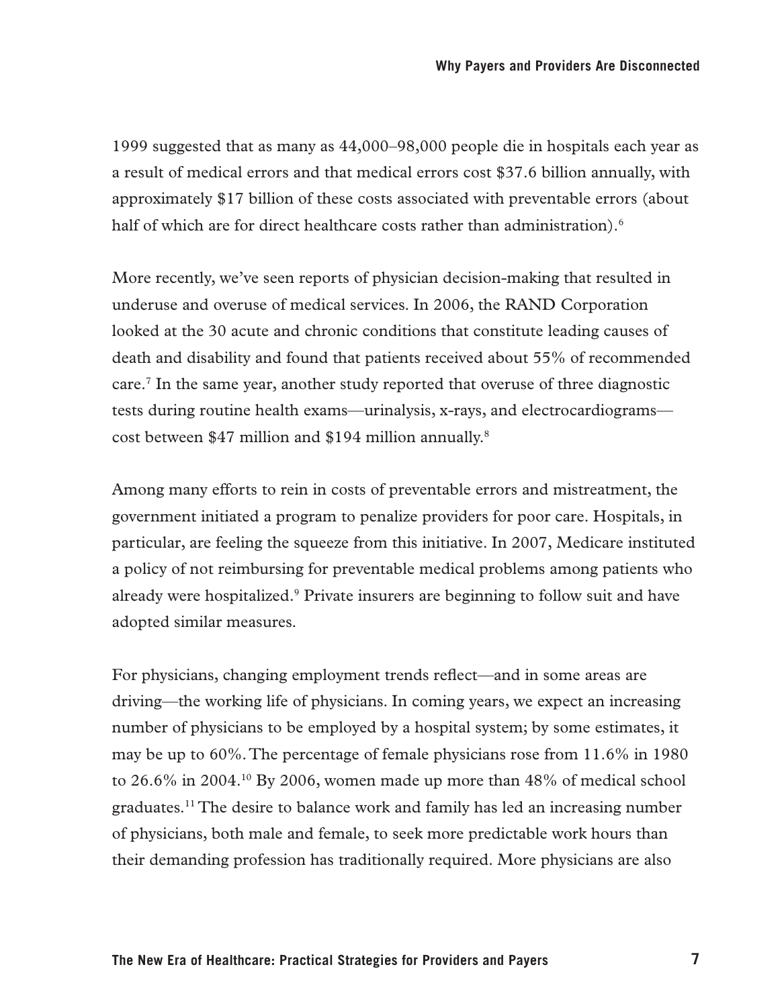1999 suggested that as many as 44,000–98,000 people die in hospitals each year as a result of medical errors and that medical errors cost \$37.6 billion annually, with approximately \$17 billion of these costs associated with preventable errors (about half of which are for direct healthcare costs rather than administration).<sup>6</sup>

More recently, we've seen reports of physician decision-making that resulted in underuse and overuse of medical services. In 2006, the RAND Corporation looked at the 30 acute and chronic conditions that constitute leading causes of death and disability and found that patients received about 55% of recommended care.7 In the same year, another study reported that overuse of three diagnostic tests during routine health exams—urinalysis, x-rays, and electrocardiograms cost between \$47 million and \$194 million annually.8

Among many efforts to rein in costs of preventable errors and mistreatment, the government initiated a program to penalize providers for poor care. Hospitals, in particular, are feeling the squeeze from this initiative. In 2007, Medicare instituted a policy of not reimbursing for preventable medical problems among patients who already were hospitalized.<sup>9</sup> Private insurers are beginning to follow suit and have adopted similar measures.

For physicians, changing employment trends reflect—and in some areas are driving—the working life of physicians. In coming years, we expect an increasing number of physicians to be employed by a hospital system; by some estimates, it may be up to 60%. The percentage of female physicians rose from 11.6% in 1980 to  $26.6\%$  in  $2004<sup>10</sup>$  By 2006, women made up more than 48% of medical school graduates.11 The desire to balance work and family has led an increasing number of physicians, both male and female, to seek more predictable work hours than their demanding profession has traditionally required. More physicians are also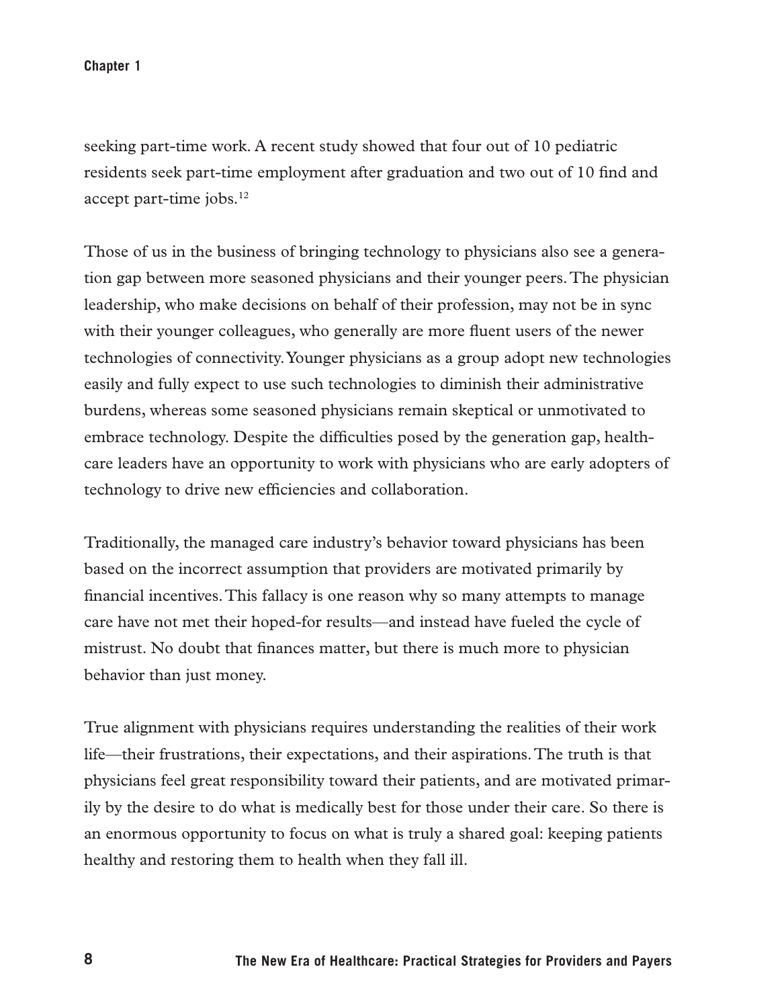**Chapter 1**

seeking part-time work. A recent study showed that four out of 10 pediatric residents seek part-time employment after graduation and two out of 10 find and accept part-time jobs.<sup>12</sup>

Those of us in the business of bringing technology to physicians also see a generation gap between more seasoned physicians and their younger peers. The physician leadership, who make decisions on behalf of their profession, may not be in sync with their younger colleagues, who generally are more fluent users of the newer technologies of connectivity. Younger physicians as a group adopt new technologies easily and fully expect to use such technologies to diminish their administrative burdens, whereas some seasoned physicians remain skeptical or unmotivated to embrace technology. Despite the difficulties posed by the generation gap, healthcare leaders have an opportunity to work with physicians who are early adopters of technology to drive new efficiencies and collaboration.

Traditionally, the managed care industry's behavior toward physicians has been based on the incorrect assumption that providers are motivated primarily by financial incentives. This fallacy is one reason why so many attempts to manage care have not met their hoped-for results—and instead have fueled the cycle of mistrust. No doubt that finances matter, but there is much more to physician behavior than just money.

True alignment with physicians requires understanding the realities of their work life—their frustrations, their expectations, and their aspirations. The truth is that physicians feel great responsibility toward their patients, and are motivated primarily by the desire to do what is medically best for those under their care. So there is an enormous opportunity to focus on what is truly a shared goal: keeping patients healthy and restoring them to health when they fall ill.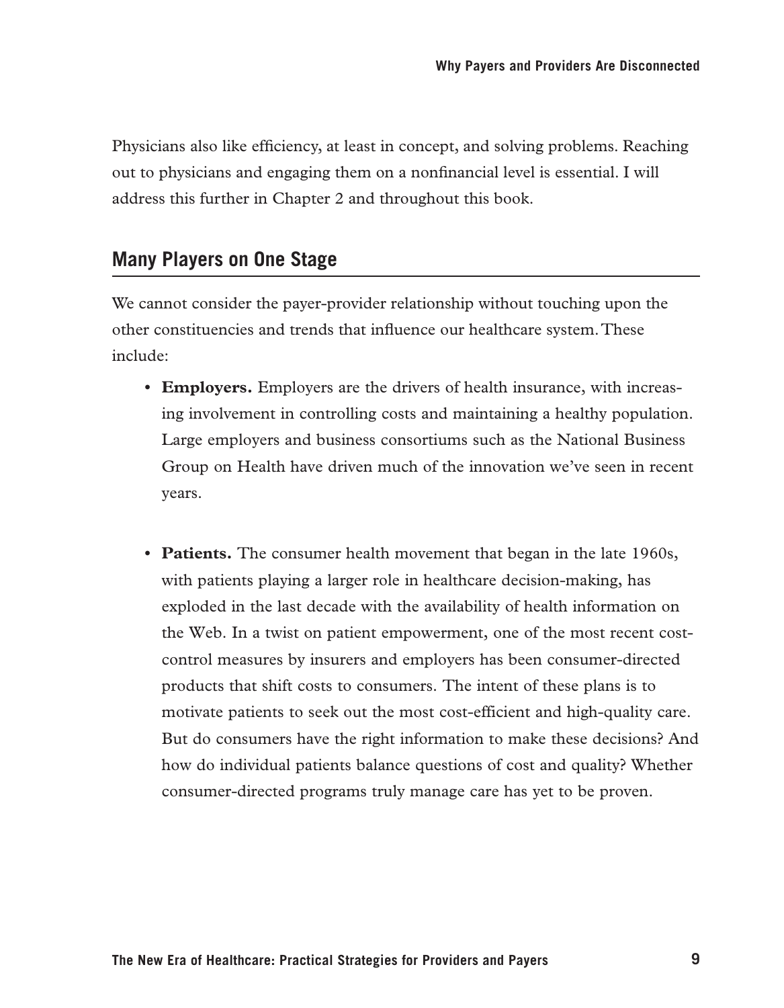Physicians also like efficiency, at least in concept, and solving problems. Reaching out to physicians and engaging them on a nonfinancial level is essential. I will address this further in Chapter 2 and throughout this book.

#### **Many Players on One Stage**

We cannot consider the payer-provider relationship without touching upon the other constituencies and trends that influence our healthcare system. These include:

- **• Employers.** Employers are the drivers of health insurance, with increasing involvement in controlling costs and maintaining a healthy population. Large employers and business consortiums such as the National Business Group on Health have driven much of the innovation we've seen in recent years.
- **Patients.** The consumer health movement that began in the late 1960s, with patients playing a larger role in healthcare decision-making, has exploded in the last decade with the availability of health information on the Web. In a twist on patient empowerment, one of the most recent costcontrol measures by insurers and employers has been consumer-directed products that shift costs to consumers. The intent of these plans is to motivate patients to seek out the most cost-efficient and high-quality care. But do consumers have the right information to make these decisions? And how do individual patients balance questions of cost and quality? Whether consumer-directed programs truly manage care has yet to be proven.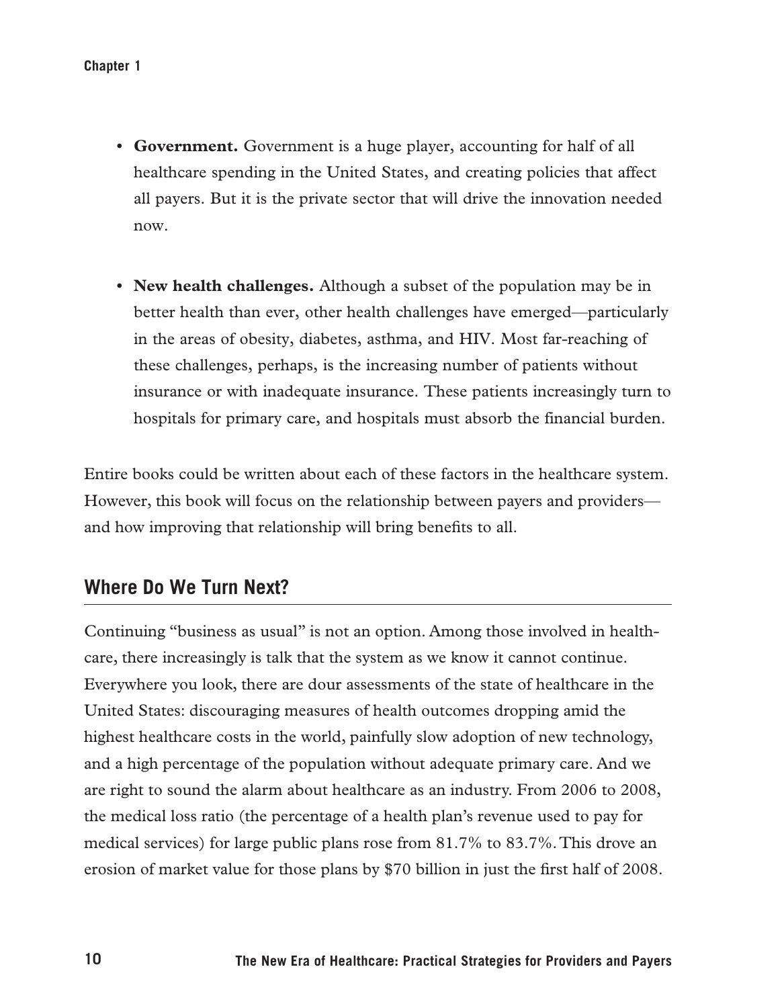- **• Government.** Government is a huge player, accounting for half of all healthcare spending in the United States, and creating policies that affect all payers. But it is the private sector that will drive the innovation needed now.
- **• New health challenges.** Although a subset of the population may be in better health than ever, other health challenges have emerged—particularly in the areas of obesity, diabetes, asthma, and HIV. Most far-reaching of these challenges, perhaps, is the increasing number of patients without insurance or with inadequate insurance. These patients increasingly turn to hospitals for primary care, and hospitals must absorb the financial burden.

Entire books could be written about each of these factors in the healthcare system. However, this book will focus on the relationship between payers and providers and how improving that relationship will bring benefits to all.

#### **Where Do We Turn Next?**

Continuing "business as usual" is not an option. Among those involved in healthcare, there increasingly is talk that the system as we know it cannot continue. Everywhere you look, there are dour assessments of the state of healthcare in the United States: discouraging measures of health outcomes dropping amid the highest healthcare costs in the world, painfully slow adoption of new technology, and a high percentage of the population without adequate primary care. And we are right to sound the alarm about healthcare as an industry. From 2006 to 2008, the medical loss ratio (the percentage of a health plan's revenue used to pay for medical services) for large public plans rose from 81.7% to 83.7%. This drove an erosion of market value for those plans by \$70 billion in just the first half of 2008.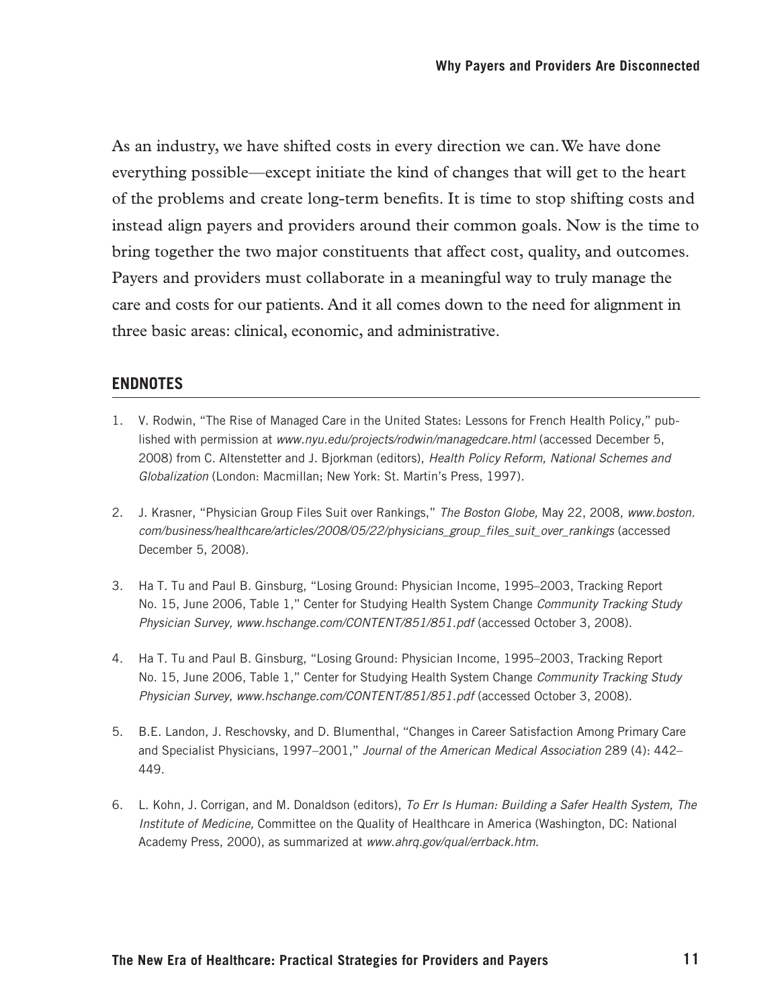As an industry, we have shifted costs in every direction we can. We have done everything possible—except initiate the kind of changes that will get to the heart of the problems and create long-term benefits. It is time to stop shifting costs and instead align payers and providers around their common goals. Now is the time to bring together the two major constituents that affect cost, quality, and outcomes. Payers and providers must collaborate in a meaningful way to truly manage the care and costs for our patients. And it all comes down to the need for alignment in three basic areas: clinical, economic, and administrative.

#### **Endnotes**

- 1. V. Rodwin, "The Rise of Managed Care in the United States: Lessons for French Health Policy," published with permission at *www.nyu.edu/projects/rodwin/managedcare.html* (accessed December 5, 2008) from C. Altenstetter and J. Bjorkman (editors), *Health Policy Reform, National Schemes and Globalization* (London: Macmillan; New York: St. Martin's Press, 1997).
- 2. J. Krasner, "Physician Group Files Suit over Rankings," *The Boston Globe,* May 22, 2008, *www.boston. com/business/healthcare/articles/2008/05/22/physicians\_group\_files\_suit\_over\_rankings* (accessed December 5, 2008).
- 3. Ha T. Tu and Paul B. Ginsburg, "Losing Ground: Physician Income, 1995–2003, Tracking Report No. 15, June 2006, Table 1," Center for Studying Health System Change *Community Tracking Study Physician Survey, www.hschange.com/CONTENT/851/851.pdf* (accessed October 3, 2008).
- 4. Ha T. Tu and Paul B. Ginsburg, "Losing Ground: Physician Income, 1995–2003, Tracking Report No. 15, June 2006, Table 1," Center for Studying Health System Change *Community Tracking Study Physician Survey, www.hschange.com/CONTENT/851/851.pdf* (accessed October 3, 2008).
- 5. B.E. Landon, J. Reschovsky, and D. Blumenthal, "Changes in Career Satisfaction Among Primary Care and Specialist Physicians, 1997–2001," *Journal of the American Medical Association* 289 (4): 442– 449.
- 6. L. Kohn, J. Corrigan, and M. Donaldson (editors), *To Err Is Human: Building a Safer Health System, The Institute of Medicine,* Committee on the Quality of Healthcare in America (Washington, DC: National Academy Press, 2000), as summarized at *www.ahrq.gov/qual/errback.htm.*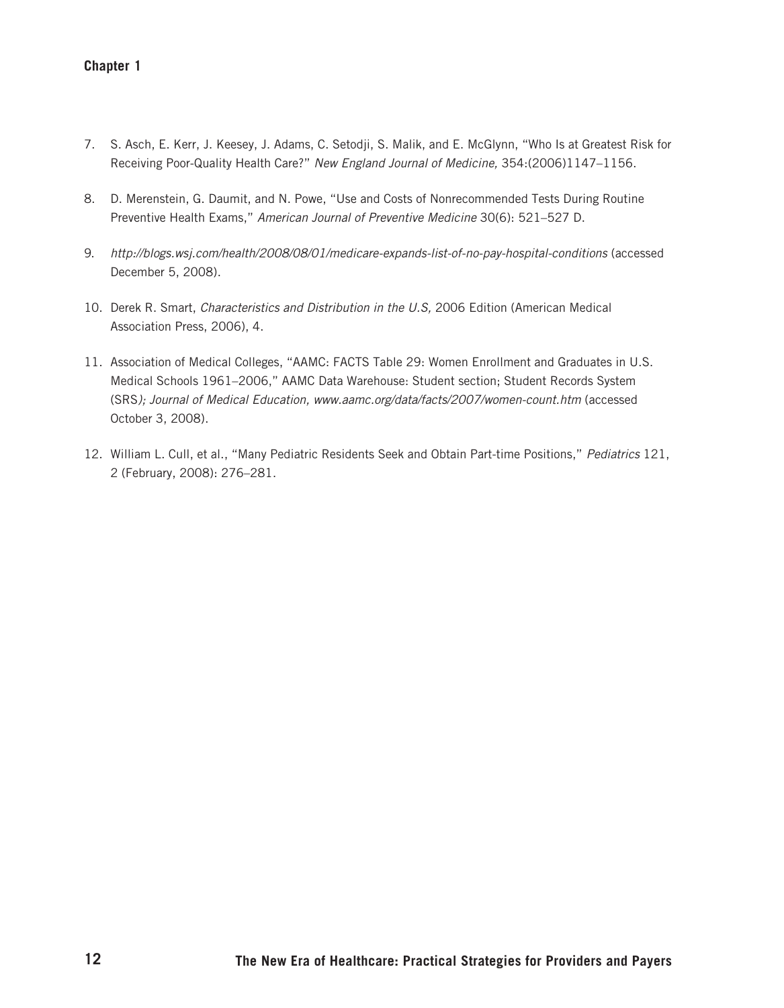#### **Chapter 1**

- 7. S. Asch, E. Kerr, J. Keesey, J. Adams, C. Setodji, S. Malik, and E. McGlynn, "Who Is at Greatest Risk for Receiving Poor-Quality Health Care?" *New England Journal of Medicine,* 354:(2006)1147–1156.
- 8. D. Merenstein, G. Daumit, and N. Powe, "Use and Costs of Nonrecommended Tests During Routine Preventive Health Exams," *American Journal of Preventive Medicine* 30(6): 521–527 D.
- 9. http://blogs.wsj.com/health/2008/08/01/medicare-expands-list-of-no-pay-hospital-conditions (accessed December 5, 2008).
- 10. Derek R. Smart, *Characteristics and Distribution in the U.S,* 2006 Edition (American Medical Association Press, 2006), 4.
- 11. Association of Medical Colleges, "AAMC: FACTS Table 29: Women Enrollment and Graduates in U.S. Medical Schools 1961–2006," AAMC Data Warehouse: Student section; Student Records System (SRS*); Journal of Medical Education, www.aamc.org/data/facts/2007/women-count.htm* (accessed October 3, 2008).
- 12. William L. Cull, et al., "Many Pediatric Residents Seek and Obtain Part-time Positions," *Pediatrics* 121, 2 (February, 2008): 276–281.